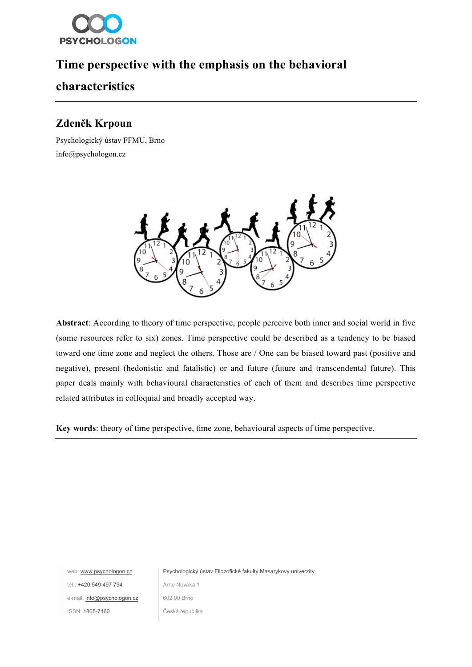

# **Time perspective with the emphasis on the behavioral**

## **characteristics**

## **Zdeněk Krpoun**

Psychologický ústav FFMU, Brno info@psychologon.cz



**Abstract**: According to theory of time perspective, people perceive both inner and social world in five (some resources refer to six) zones. Time perspective could be described as a tendency to be biased toward one time zone and neglect the others. Those are / One can be biased toward past (positive and negative), present (hedonistic and fatalistic) or and future (future and transcendental future). This paper deals mainly with behavioural characteristics of each of them and describes time perspective related attributes in colloquial and broadly accepted way.

**Key words**: theory of time perspective, time zone, behavioural aspects of time perspective.

tel.: +420 549 497 794 Arne Nováka 1

e-mail: info@psychologon.cz 602 00 Brno

ISSN: 1805-7160 Česká republika

web: www.psychologon.cz <br>
Psychologický ústav Filozofické fakulty Masarykovy univerzity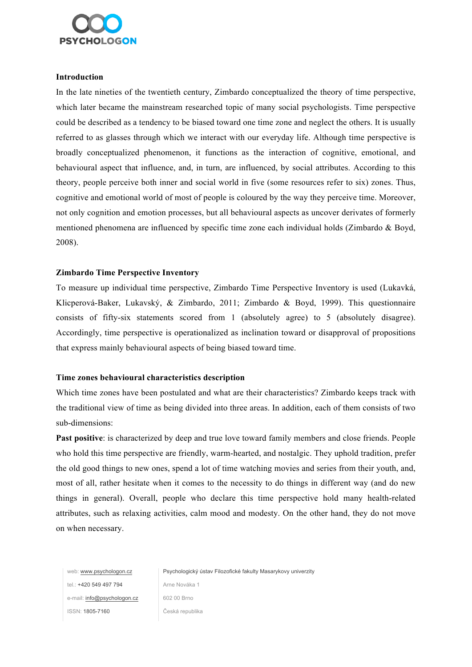

## **Introduction**

In the late nineties of the twentieth century, Zimbardo conceptualized the theory of time perspective, which later became the mainstream researched topic of many social psychologists. Time perspective could be described as a tendency to be biased toward one time zone and neglect the others. It is usually referred to as glasses through which we interact with our everyday life. Although time perspective is broadly conceptualized phenomenon, it functions as the interaction of cognitive, emotional, and behavioural aspect that influence, and, in turn, are influenced, by social attributes. According to this theory, people perceive both inner and social world in five (some resources refer to six) zones. Thus, cognitive and emotional world of most of people is coloured by the way they perceive time. Moreover, not only cognition and emotion processes, but all behavioural aspects as uncover derivates of formerly mentioned phenomena are influenced by specific time zone each individual holds (Zimbardo & Boyd, 2008).

## **Zimbardo Time Perspective Inventory**

To measure up individual time perspective, Zimbardo Time Perspective Inventory is used (Lukavká, Klicperová-Baker, Lukavský, & Zimbardo, 2011; Zimbardo & Boyd, 1999). This questionnaire consists of fifty-six statements scored from 1 (absolutely agree) to 5 (absolutely disagree). Accordingly, time perspective is operationalized as inclination toward or disapproval of propositions that express mainly behavioural aspects of being biased toward time.

### **Time zones behavioural characteristics description**

Which time zones have been postulated and what are their characteristics? Zimbardo keeps track with the traditional view of time as being divided into three areas. In addition, each of them consists of two sub-dimensions:

**Past positive**: is characterized by deep and true love toward family members and close friends. People who hold this time perspective are friendly, warm-hearted, and nostalgic. They uphold tradition, prefer the old good things to new ones, spend a lot of time watching movies and series from their youth, and, most of all, rather hesitate when it comes to the necessity to do things in different way (and do new things in general). Overall, people who declare this time perspective hold many health-related attributes, such as relaxing activities, calm mood and modesty. On the other hand, they do not move on when necessary.

tel.: +420 549 497 794 Arne Nováka 1 e-mail: info@psychologon.cz 602 00 Brno ISSN: 1805-7160 Česká republika

web: www.psychologon.cz <br> **Psychologický ústav Filozofické fakulty Masarykovy univerzity**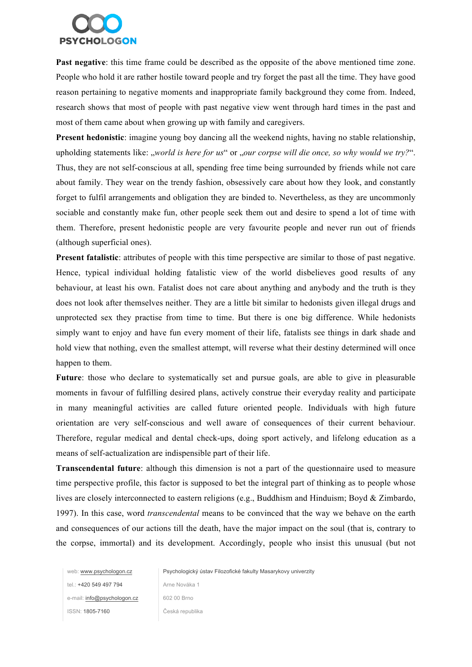

**Past negative**: this time frame could be described as the opposite of the above mentioned time zone. People who hold it are rather hostile toward people and try forget the past all the time. They have good reason pertaining to negative moments and inappropriate family background they come from. Indeed, research shows that most of people with past negative view went through hard times in the past and most of them came about when growing up with family and caregivers.

**Present hedonistic**: imagine young boy dancing all the weekend nights, having no stable relationship, upholding statements like: "*world is here for us*" or "*our corpse will die once*, so why would we try?". Thus, they are not self-conscious at all, spending free time being surrounded by friends while not care about family. They wear on the trendy fashion, obsessively care about how they look, and constantly forget to fulfil arrangements and obligation they are binded to. Nevertheless, as they are uncommonly sociable and constantly make fun, other people seek them out and desire to spend a lot of time with them. Therefore, present hedonistic people are very favourite people and never run out of friends (although superficial ones).

**Present fatalistic**: attributes of people with this time perspective are similar to those of past negative. Hence, typical individual holding fatalistic view of the world disbelieves good results of any behaviour, at least his own. Fatalist does not care about anything and anybody and the truth is they does not look after themselves neither. They are a little bit similar to hedonists given illegal drugs and unprotected sex they practise from time to time. But there is one big difference. While hedonists simply want to enjoy and have fun every moment of their life, fatalists see things in dark shade and hold view that nothing, even the smallest attempt, will reverse what their destiny determined will once happen to them.

**Future**: those who declare to systematically set and pursue goals, are able to give in pleasurable moments in favour of fulfilling desired plans, actively construe their everyday reality and participate in many meaningful activities are called future oriented people. Individuals with high future orientation are very self-conscious and well aware of consequences of their current behaviour. Therefore, regular medical and dental check-ups, doing sport actively, and lifelong education as a means of self-actualization are indispensible part of their life.

**Transcendental future**: although this dimension is not a part of the questionnaire used to measure time perspective profile, this factor is supposed to bet the integral part of thinking as to people whose lives are closely interconnected to eastern religions (e.g., Buddhism and Hinduism; Boyd & Zimbardo, 1997). In this case, word *transcendental* means to be convinced that the way we behave on the earth and consequences of our actions till the death, have the major impact on the soul (that is, contrary to the corpse, immortal) and its development. Accordingly, people who insist this unusual (but not

tel.: +420 549 497 794 Arne Nováka 1 e-mail: info@psychologon.cz 602 00 Brno ISSN: 1805-7160 Česká republika

web: www.psychologon.cz Psychologický ústav Filozofické fakulty Masarykovy univerzity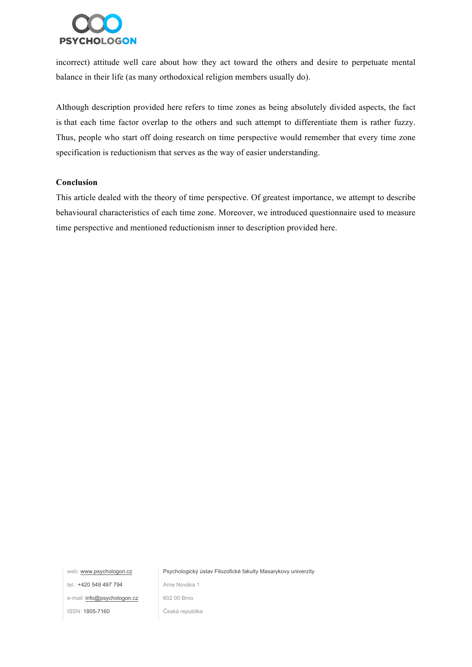

incorrect) attitude well care about how they act toward the others and desire to perpetuate mental balance in their life (as many orthodoxical religion members usually do).

Although description provided here refers to time zones as being absolutely divided aspects, the fact is that each time factor overlap to the others and such attempt to differentiate them is rather fuzzy. Thus, people who start off doing research on time perspective would remember that every time zone specification is reductionism that serves as the way of easier understanding.

### **Conclusion**

This article dealed with the theory of time perspective. Of greatest importance, we attempt to describe behavioural characteristics of each time zone. Moreover, we introduced questionnaire used to measure time perspective and mentioned reductionism inner to description provided here.

web: www.psychologon.cz <br>
Psychologický ústav Filozofické fakulty Masarykovy univerzity

tel.: +420 549 497 794 Arne Nováka 1

e-mail: info@psychologon.cz 602 00 Brno

ISSN: 1805-7160 Česká republika